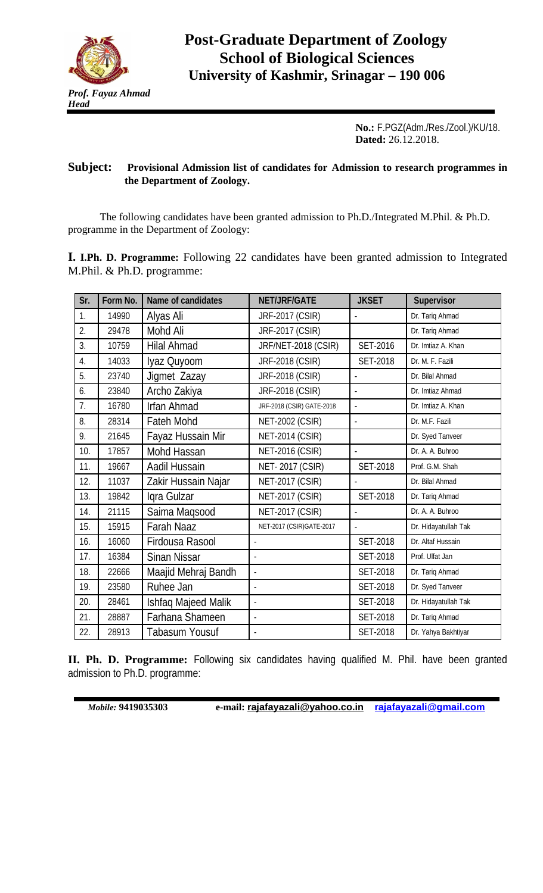

**No.:** F.PGZ(Adm./Res./Zool.)/KU/18. **Dated:** 26.12.2018.

## **Subject: Provisional Admission list of candidates for Admission to research programmes in the Department of Zoology.**

The following candidates have been granted admission to Ph.D./Integrated M.Phil. & Ph.D. programme in the Department of Zoology:

**I. I.Ph. D. Programme:** Following 22 candidates have been granted admission to Integrated M.Phil. & Ph.D. programme:

| Sr. | Form No. | <b>Name of candidates</b> | <b>NET/JRF/GATE</b>       | <b>JKSET</b>    | <b>Supervisor</b>    |
|-----|----------|---------------------------|---------------------------|-----------------|----------------------|
| 1.  | 14990    | Alyas Ali                 | JRF-2017 (CSIR)           |                 | Dr. Tariq Ahmad      |
| 2.  | 29478    | Mohd Ali                  | JRF-2017 (CSIR)           |                 | Dr. Tariq Ahmad      |
| 3.  | 10759    | <b>Hilal Ahmad</b>        | JRF/NET-2018 (CSIR)       | <b>SET-2016</b> | Dr. Imtiaz A. Khan   |
| 4.  | 14033    | Iyaz Quyoom               | JRF-2018 (CSIR)           | <b>SET-2018</b> | Dr. M. F. Fazili     |
| 5.  | 23740    | Jigmet Zazay              | JRF-2018 (CSIR)           |                 | Dr. Bilal Ahmad      |
| 6.  | 23840    | Archo Zakiya              | JRF-2018 (CSIR)           | $\blacksquare$  | Dr. Imtiaz Ahmad     |
| 7.  | 16780    | <b>Irfan Ahmad</b>        | JRF-2018 (CSIR) GATE-2018 | $\overline{a}$  | Dr. Imtiaz A. Khan   |
| 8.  | 28314    | Fateh Mohd                | <b>NET-2002 (CSIR)</b>    | $\overline{a}$  | Dr. M.F. Fazili      |
| 9.  | 21645    | Fayaz Hussain Mir         | <b>NET-2014 (CSIR)</b>    |                 | Dr. Syed Tanveer     |
| 10. | 17857    | Mohd Hassan               | <b>NET-2016 (CSIR)</b>    | $\overline{a}$  | Dr. A. A. Buhroo     |
| 11. | 19667    | Aadil Hussain             | <b>NET-2017 (CSIR)</b>    | <b>SET-2018</b> | Prof. G.M. Shah      |
| 12. | 11037    | Zakir Hussain Najar       | <b>NET-2017 (CSIR)</b>    |                 | Dr. Bilal Ahmad      |
| 13. | 19842    | Igra Gulzar               | <b>NET-2017 (CSIR)</b>    | <b>SET-2018</b> | Dr. Tariq Ahmad      |
| 14. | 21115    | Saima Maqsood             | <b>NET-2017 (CSIR)</b>    |                 | Dr. A. A. Buhroo     |
| 15. | 15915    | <b>Farah Naaz</b>         | NET-2017 (CSIR) GATE-2017 | $\overline{a}$  | Dr. Hidayatullah Tak |
| 16. | 16060    | Firdousa Rasool           |                           | <b>SET-2018</b> | Dr. Altaf Hussain    |
| 17. | 16384    | <b>Sinan Nissar</b>       |                           | <b>SET-2018</b> | Prof. Ulfat Jan      |
| 18. | 22666    | Maajid Mehraj Bandh       | $\overline{\phantom{0}}$  | <b>SET-2018</b> | Dr. Tariq Ahmad      |
| 19. | 23580    | Ruhee Jan                 | $\frac{1}{2}$             | <b>SET-2018</b> | Dr. Syed Tanveer     |
| 20. | 28461    | Ishfaq Majeed Malik       | $\overline{a}$            | <b>SET-2018</b> | Dr. Hidayatullah Tak |
| 21. | 28887    | Farhana Shameen           | $\overline{a}$            | <b>SET-2018</b> | Dr. Tariq Ahmad      |
| 22. | 28913    | Tabasum Yousuf            |                           | <b>SET-2018</b> | Dr. Yahya Bakhtiyar  |

**II. Ph. D. Programme:** Following six candidates having qualified M. Phil. have been granted admission to Ph.D. programme:

*Mobile:* **9419035303 e-mail: [rajafayazali@yahoo.co.in](mailto:rajafayazali@yahoo.co.in) [rajafayazali@gmail.com](mailto:rajafayazali@gmail.com)**